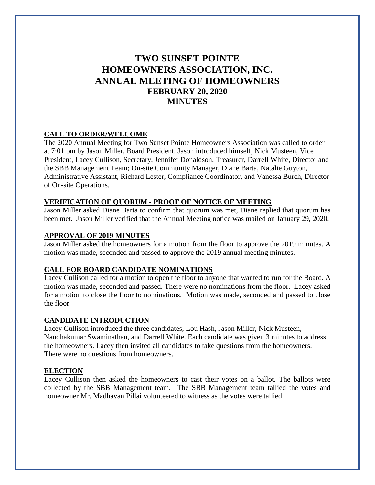# **TWO SUNSET POINTE HOMEOWNERS ASSOCIATION, INC. ANNUAL MEETING OF HOMEOWNERS FEBRUARY 20, 2020 MINUTES**

# **CALL TO ORDER/WELCOME**

The 2020 Annual Meeting for Two Sunset Pointe Homeowners Association was called to order at 7:01 pm by Jason Miller, Board President. Jason introduced himself, Nick Musteen, Vice President, Lacey Cullison, Secretary, Jennifer Donaldson, Treasurer, Darrell White, Director and the SBB Management Team; On-site Community Manager, Diane Barta, Natalie Guyton, Administrative Assistant, Richard Lester, Compliance Coordinator, and Vanessa Burch, Director of On-site Operations.

## **VERIFICATION OF QUORUM - PROOF OF NOTICE OF MEETING**

Jason Miller asked Diane Barta to confirm that quorum was met, Diane replied that quorum has been met. Jason Miller verified that the Annual Meeting notice was mailed on January 29, 2020.

#### **APPROVAL OF 2019 MINUTES**

Jason Miller asked the homeowners for a motion from the floor to approve the 2019 minutes. A motion was made, seconded and passed to approve the 2019 annual meeting minutes.

## **CALL FOR BOARD CANDIDATE NOMINATIONS**

Lacey Cullison called for a motion to open the floor to anyone that wanted to run for the Board. A motion was made, seconded and passed. There were no nominations from the floor. Lacey asked for a motion to close the floor to nominations. Motion was made, seconded and passed to close the floor.

## **CANDIDATE INTRODUCTION**

Lacey Cullison introduced the three candidates, Lou Hash, Jason Miller, Nick Musteen, Nandhakumar Swaminathan, and Darrell White. Each candidate was given 3 minutes to address the homeowners. Lacey then invited all candidates to take questions from the homeowners. There were no questions from homeowners.

#### **ELECTION**

Lacey Cullison then asked the homeowners to cast their votes on a ballot. The ballots were collected by the SBB Management team. The SBB Management team tallied the votes and homeowner Mr. Madhavan Pillai volunteered to witness as the votes were tallied.